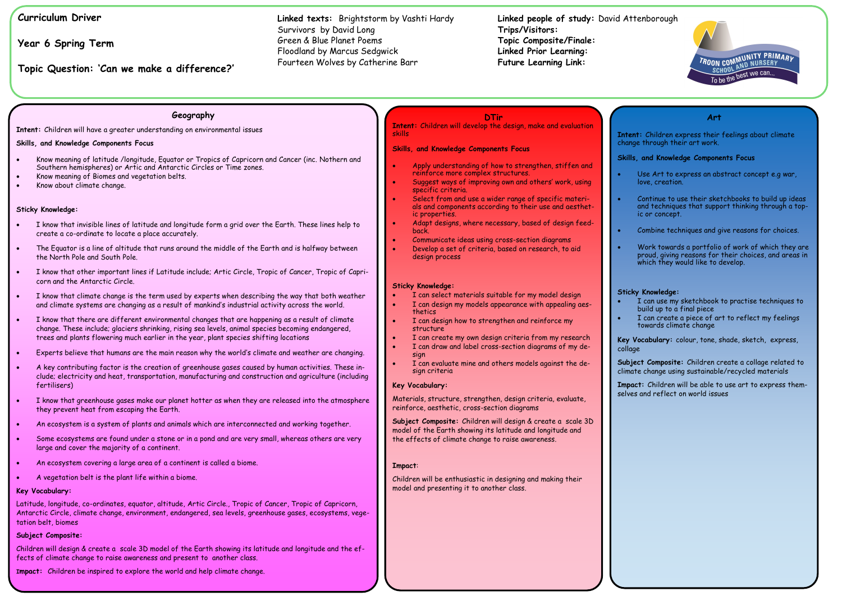# **Curriculum Driver**

**Year 6 Spring Term**

**Topic Question: 'Can we make a difference?'**

**Linked people of study:** David Attenborough **Trips/Visitors: Topic Composite/Finale: Linked Prior Learning: Future Learning Link:** 

**Linked texts:** Brightstorm by Vashti Hardy Survivors by David Long Green & Blue Planet Poems Floodland by Marcus Sedgwick Fourteen Wolves by Catherine Barr

## **Geography**

**Intent:** Children will have a greater understanding on environmental issues

#### **Skills, and Knowledge Components Focus**

- Know meaning of latitude /longitude, Equator or Tropics of Capricorn and Cancer (inc. Nothern and Southern hemispheres) or Artic and Antarctic Circles or Time zones.
- Know meaning of Biomes and vegetation belts.
- Know about climate change.

#### **Sticky Knowledge:**

- I know that invisible lines of latitude and longitude form a grid over the Earth. These lines help to create a co-ordinate to locate a place accurately.
- The Equator is a line of altitude that runs around the middle of the Earth and is halfway between the North Pole and South Pole.
- I know that other important lines if Latitude include; Artic Circle, Tropic of Cancer, Tropic of Capricorn and the Antarctic Circle.
- I know that climate change is the term used by experts when describing the way that both weather and climate systems are changing as a result of mankind's industrial activity across the world.
- I know that there are different environmental changes that are happening as a result of climate change. These include; glaciers shrinking, rising sea levels, animal species becoming endangered, trees and plants flowering much earlier in the year, plant species shifting locations
- Experts believe that humans are the main reason why the world's climate and weather are changing.
- A key contributing factor is the creation of greenhouse gases caused by human activities. These include; electricity and heat, transportation, manufacturing and construction and agriculture (including fertilisers)
- I know that greenhouse gases make our planet hotter as when they are released into the atmosphere they prevent heat from escaping the Earth.
- An ecosystem is a system of plants and animals which are interconnected and working together.
- Some ecosystems are found under a stone or in a pond and are very small, whereas others are very large and cover the majority of a continent.
- An ecosystem covering a large area of a continent is called a biome.
- A vegetation belt is the plant life within a biome.
- Use Art to express an abstract concept e.g war, love, creation.
- Continue to use their sketchbooks to build up ideas and techniques that support thinking through a topic or concept.
- Combine techniques and give reasons for choices.
- Work towards a portfolio of work of which they are proud, giving reasons for their choices, and areas in which they would like to develop.
- Apply understanding of how to strengthen, stiffen and reinforce more complex structures.
- Suggest ways of improving own and others' work, using specific criteria.
- Select from and use a wider range of specific materials and components according to their use and aesthetic properties.
- Adapt designs, where necessary, based of design feedback.
- Communicate ideas using cross-section diagrams
- Develop a set of criteria, based on research, to aid design process

- I can select materials suitable for my model design
- I can design my models appearance with appealing aesthetics
- I can design how to strengthen and reinforce my structure
- I can create my own design criteria from my research
- I can draw and label cross-section diagrams of my design
- I can evaluate mine and others models against the design criteria

#### **Key Vocabulary:**

Latitude, longitude, co-ordinates, equator, altitude, Artic Circle., Tropic of Cancer, Tropic of Capricorn, Antarctic Circle, climate change, environment, endangered, sea levels, greenhouse gases, ecosystems, vegetation belt, biomes

#### **Subject Composite:**

Children will design & create a scale 3D model of the Earth showing its latitude and longitude and the effects of climate change to raise awareness and present to another class.

**Impact:** Children be inspired to explore the world and help climate change.

#### **Art**

**Intent:** Children express their feelings about climate change through their art work.

#### **Skills, and Knowledge Components Focus**

#### **Sticky Knowledge:**

- I can use my sketchbook to practise techniques to build up to a final piece
- I can create a piece of art to reflect my feelings towards climate change
- **Key Vocabulary:** colour, tone, shade, sketch, express, collage
- **Subject Composite:** Children create a collage related to climate change using sustainable/recycled materials
- **Impact:** Children will be able to use art to express themselves and reflect on world issues

## **DTir**

**Intent:** Children will develop the design, make and evaluation skills

#### **Skills, and Knowledge Components Focus**

#### **Sticky Knowledge:**

#### **Key Vocabulary:**

Materials, structure, strengthen, design criteria, evaluate, reinforce, aesthetic, cross-section diagrams

**Subject Composite:** Children will design & create a scale 3D model of the Earth showing its latitude and longitude and the effects of climate change to raise awareness.

#### **Impact**:

Children will be enthusiastic in designing and making their model and presenting it to another class.